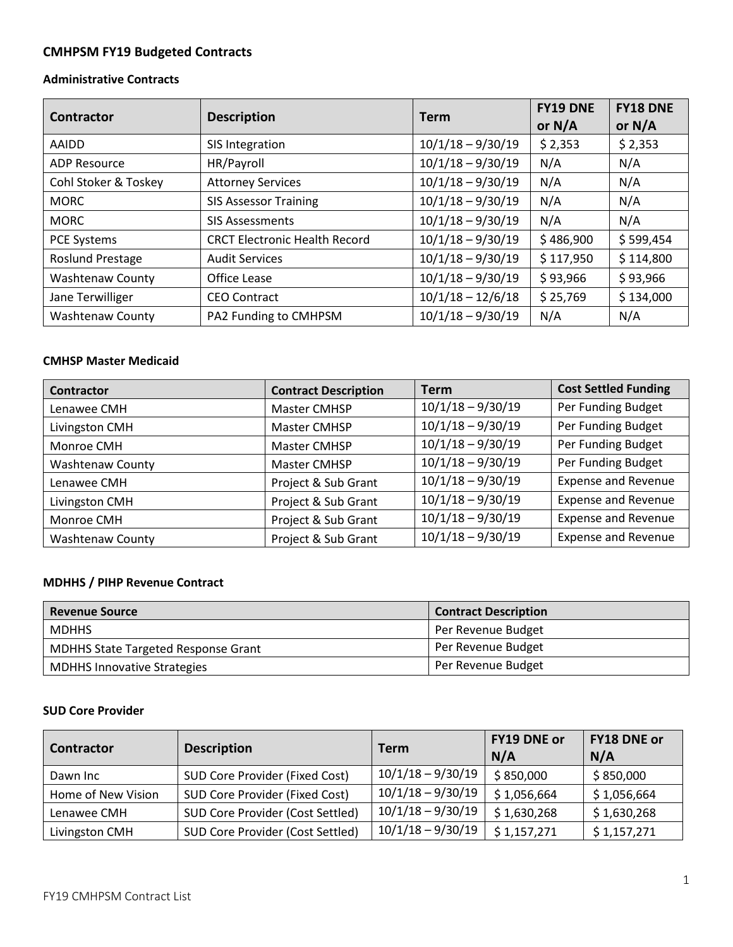## **CMHPSM FY19 Budgeted Contracts**

#### **Administrative Contracts**

| Contractor              | <b>Description</b>                   | <b>Term</b>         | <b>FY19 DNE</b><br>or $N/A$ | <b>FY18 DNE</b><br>or $N/A$ |
|-------------------------|--------------------------------------|---------------------|-----------------------------|-----------------------------|
| AAIDD                   | SIS Integration                      | $10/1/18 - 9/30/19$ | \$2,353                     | \$2,353                     |
| <b>ADP Resource</b>     | HR/Payroll                           | $10/1/18 - 9/30/19$ | N/A                         | N/A                         |
| Cohl Stoker & Toskey    | <b>Attorney Services</b>             | $10/1/18 - 9/30/19$ | N/A                         | N/A                         |
| <b>MORC</b>             | <b>SIS Assessor Training</b>         | $10/1/18 - 9/30/19$ | N/A                         | N/A                         |
| <b>MORC</b>             | <b>SIS Assessments</b>               | $10/1/18 - 9/30/19$ | N/A                         | N/A                         |
| <b>PCE Systems</b>      | <b>CRCT Electronic Health Record</b> | $10/1/18 - 9/30/19$ | \$486,900                   | \$599,454                   |
| <b>Roslund Prestage</b> | <b>Audit Services</b>                | $10/1/18 - 9/30/19$ | \$117,950                   | \$114,800                   |
| <b>Washtenaw County</b> | Office Lease                         | $10/1/18 - 9/30/19$ | \$93,966                    | \$93,966                    |
| Jane Terwilliger        | <b>CEO Contract</b>                  | $10/1/18 - 12/6/18$ | \$25,769                    | \$134,000                   |
| <b>Washtenaw County</b> | PA2 Funding to CMHPSM                | $10/1/18 - 9/30/19$ | N/A                         | N/A                         |

#### **CMHSP Master Medicaid**

| <b>Contractor</b>       | <b>Contract Description</b> | <b>Term</b>         | <b>Cost Settled Funding</b> |
|-------------------------|-----------------------------|---------------------|-----------------------------|
| Lenawee CMH             | Master CMHSP                | $10/1/18 - 9/30/19$ | Per Funding Budget          |
| Livingston CMH          | Master CMHSP                | $10/1/18 - 9/30/19$ | Per Funding Budget          |
| Monroe CMH              | Master CMHSP                | $10/1/18 - 9/30/19$ | Per Funding Budget          |
| <b>Washtenaw County</b> | Master CMHSP                | $10/1/18 - 9/30/19$ | Per Funding Budget          |
| Lenawee CMH             | Project & Sub Grant         | $10/1/18 - 9/30/19$ | <b>Expense and Revenue</b>  |
| Livingston CMH          | Project & Sub Grant         | $10/1/18 - 9/30/19$ | <b>Expense and Revenue</b>  |
| Monroe CMH              | Project & Sub Grant         | $10/1/18 - 9/30/19$ | <b>Expense and Revenue</b>  |
| <b>Washtenaw County</b> | Project & Sub Grant         | $10/1/18 - 9/30/19$ | <b>Expense and Revenue</b>  |

### **MDHHS / PIHP Revenue Contract**

| <b>Revenue Source</b>                      | <b>Contract Description</b> |
|--------------------------------------------|-----------------------------|
| <b>MDHHS</b>                               | Per Revenue Budget          |
| <b>MDHHS State Targeted Response Grant</b> | Per Revenue Budget          |
| <b>MDHHS Innovative Strategies</b>         | Per Revenue Budget          |

#### **SUD Core Provider**

| <b>Contractor</b>  | <b>Description</b>               | Term                | <b>FY19 DNE or</b><br>N/A | <b>FY18 DNE or</b><br>N/A |
|--------------------|----------------------------------|---------------------|---------------------------|---------------------------|
| Dawn Inc           | SUD Core Provider (Fixed Cost)   | $10/1/18 - 9/30/19$ | \$850,000                 | \$850,000                 |
| Home of New Vision | SUD Core Provider (Fixed Cost)   | $10/1/18 - 9/30/19$ | \$1,056,664               | \$1,056,664               |
| Lenawee CMH        | SUD Core Provider (Cost Settled) | $10/1/18 - 9/30/19$ | \$1,630,268               | \$1,630,268               |
| Livingston CMH     | SUD Core Provider (Cost Settled) | $10/1/18 - 9/30/19$ | \$1,157,271               | \$1,157,271               |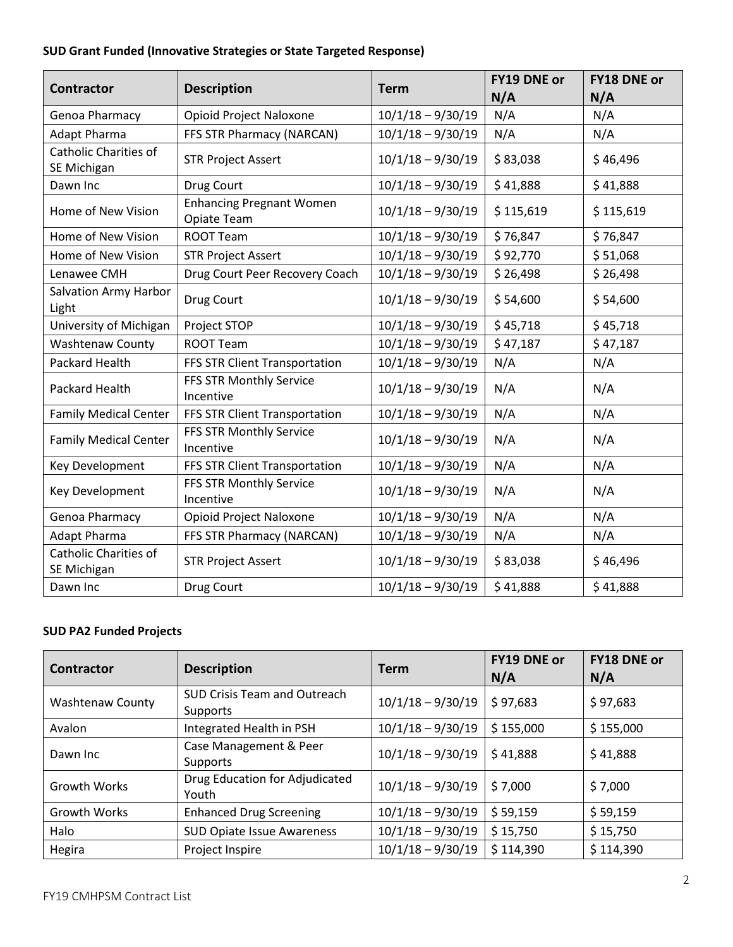# **SUD Grant Funded (Innovative Strategies or State Targeted Response)**

| <b>Contractor</b>                     | <b>Description</b>                             | <b>Term</b>         | <b>FY19 DNE or</b> | <b>FY18 DNE or</b> |
|---------------------------------------|------------------------------------------------|---------------------|--------------------|--------------------|
|                                       |                                                |                     | N/A                | N/A                |
| Genoa Pharmacy                        | Opioid Project Naloxone                        | $10/1/18 - 9/30/19$ | N/A                | N/A                |
| <b>Adapt Pharma</b>                   | FFS STR Pharmacy (NARCAN)                      | $10/1/18 - 9/30/19$ | N/A                | N/A                |
| Catholic Charities of                 | <b>STR Project Assert</b>                      | $10/1/18 - 9/30/19$ | \$83,038           | \$46,496           |
| SE Michigan                           |                                                |                     |                    |                    |
| Dawn Inc                              | Drug Court                                     | $10/1/18 - 9/30/19$ | \$41,888           | \$41,888           |
| Home of New Vision                    | <b>Enhancing Pregnant Women</b><br>Opiate Team | $10/1/18 - 9/30/19$ | \$115,619          | \$115,619          |
| Home of New Vision                    | <b>ROOT Team</b>                               | $10/1/18 - 9/30/19$ | \$76,847           | \$76,847           |
| Home of New Vision                    | <b>STR Project Assert</b>                      | $10/1/18 - 9/30/19$ | \$92,770           | \$51,068           |
| Lenawee CMH                           | Drug Court Peer Recovery Coach                 | $10/1/18 - 9/30/19$ | \$26,498           | \$26,498           |
| <b>Salvation Army Harbor</b><br>Light | Drug Court                                     | $10/1/18 - 9/30/19$ | \$54,600           | \$54,600           |
| University of Michigan                | Project STOP                                   | $10/1/18 - 9/30/19$ | \$45,718           | \$45,718           |
| <b>Washtenaw County</b>               | <b>ROOT Team</b>                               | $10/1/18 - 9/30/19$ | \$47,187           | \$47,187           |
| Packard Health                        | FFS STR Client Transportation                  | $10/1/18 - 9/30/19$ | N/A                | N/A                |
| Packard Health                        | FFS STR Monthly Service<br>Incentive           | $10/1/18 - 9/30/19$ | N/A                | N/A                |
| <b>Family Medical Center</b>          | FFS STR Client Transportation                  | $10/1/18 - 9/30/19$ | N/A                | N/A                |
| <b>Family Medical Center</b>          | FFS STR Monthly Service<br>Incentive           | $10/1/18 - 9/30/19$ | N/A                | N/A                |
| Key Development                       | FFS STR Client Transportation                  | $10/1/18 - 9/30/19$ | N/A                | N/A                |
| Key Development                       | FFS STR Monthly Service<br>Incentive           | $10/1/18 - 9/30/19$ | N/A                | N/A                |
| Genoa Pharmacy                        | Opioid Project Naloxone                        | $10/1/18 - 9/30/19$ | N/A                | N/A                |
| Adapt Pharma                          | FFS STR Pharmacy (NARCAN)                      | $10/1/18 - 9/30/19$ | N/A                | N/A                |
| Catholic Charities of<br>SE Michigan  | <b>STR Project Assert</b>                      | $10/1/18 - 9/30/19$ | \$83,038           | \$46,496           |
| Dawn Inc                              | Drug Court                                     | $10/1/18 - 9/30/19$ | \$41,888           | \$41,888           |

## **SUD PA2 Funded Projects**

| <b>Contractor</b>       | <b>Description</b>                              | Term                | <b>FY19 DNE or</b><br>N/A | <b>FY18 DNE or</b><br>N/A |
|-------------------------|-------------------------------------------------|---------------------|---------------------------|---------------------------|
| <b>Washtenaw County</b> | <b>SUD Crisis Team and Outreach</b><br>Supports | $10/1/18 - 9/30/19$ | \$97,683                  | \$97,683                  |
| Avalon                  | Integrated Health in PSH                        | $10/1/18 - 9/30/19$ | \$155,000                 | \$155,000                 |
| Dawn Inc                | Case Management & Peer<br>Supports              | $10/1/18 - 9/30/19$ | \$41,888                  | \$41,888                  |
| <b>Growth Works</b>     | Drug Education for Adjudicated<br>Youth         | $10/1/18 - 9/30/19$ | \$7,000                   | \$7,000                   |
| Growth Works            | <b>Enhanced Drug Screening</b>                  | $10/1/18 - 9/30/19$ | \$59,159                  | \$59,159                  |
| Halo                    | <b>SUD Opiate Issue Awareness</b>               | $10/1/18 - 9/30/19$ | \$15,750                  | \$15,750                  |
| Hegira                  | Project Inspire                                 | $10/1/18 - 9/30/19$ | \$114,390                 | \$114,390                 |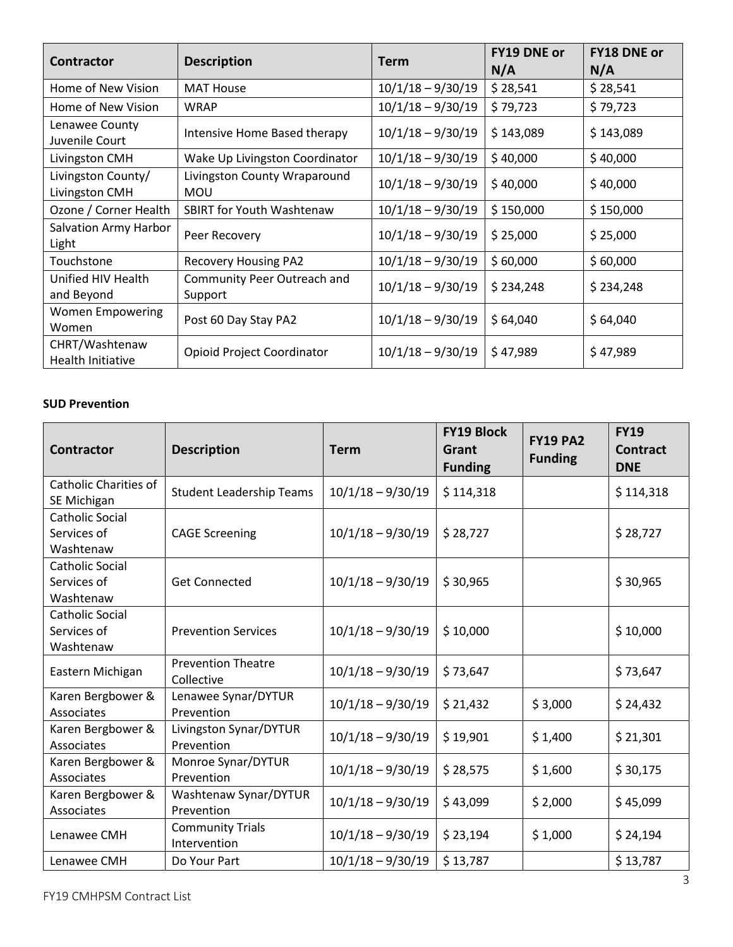| <b>Contractor</b>                    | <b>Description</b>                         | <b>Term</b>         | <b>FY19 DNE or</b><br>N/A | <b>FY18 DNE or</b><br>N/A |
|--------------------------------------|--------------------------------------------|---------------------|---------------------------|---------------------------|
| Home of New Vision                   | <b>MAT House</b>                           | $10/1/18 - 9/30/19$ | \$28,541                  | \$28,541                  |
| Home of New Vision                   | <b>WRAP</b>                                | $10/1/18 - 9/30/19$ | \$79,723                  | \$79,723                  |
| Lenawee County<br>Juvenile Court     | Intensive Home Based therapy               | $10/1/18 - 9/30/19$ | \$143,089                 | \$143,089                 |
| Livingston CMH                       | Wake Up Livingston Coordinator             | $10/1/18 - 9/30/19$ | \$40,000                  | \$40,000                  |
| Livingston County/<br>Livingston CMH | Livingston County Wraparound<br><b>MOU</b> | $10/1/18 - 9/30/19$ | \$40,000                  | \$40,000                  |
| Ozone / Corner Health                | <b>SBIRT for Youth Washtenaw</b>           | $10/1/18 - 9/30/19$ | \$150,000                 | \$150,000                 |
| Salvation Army Harbor<br>Light       | Peer Recovery                              | $10/1/18 - 9/30/19$ | \$25,000                  | \$25,000                  |
| Touchstone                           | <b>Recovery Housing PA2</b>                | $10/1/18 - 9/30/19$ | \$60,000                  | \$60,000                  |
| Unified HIV Health<br>and Beyond     | Community Peer Outreach and<br>Support     | $10/1/18 - 9/30/19$ | \$234,248                 | \$234,248                 |
| <b>Women Empowering</b><br>Women     | Post 60 Day Stay PA2                       | $10/1/18 - 9/30/19$ | \$64,040                  | \$64,040                  |
| CHRT/Washtenaw<br>Health Initiative  | <b>Opioid Project Coordinator</b>          | $10/1/18 - 9/30/19$ | \$47,989                  | \$47,989                  |

#### **SUD Prevention**

| <b>Contractor</b>                                  | <b>Description</b>                      | <b>Term</b>         | <b>FY19 Block</b><br>Grant<br><b>Funding</b> | <b>FY19 PA2</b><br><b>Funding</b> | <b>FY19</b><br><b>Contract</b><br><b>DNE</b> |
|----------------------------------------------------|-----------------------------------------|---------------------|----------------------------------------------|-----------------------------------|----------------------------------------------|
| <b>Catholic Charities of</b><br>SE Michigan        | <b>Student Leadership Teams</b>         | $10/1/18 - 9/30/19$ | \$114,318                                    |                                   | \$114,318                                    |
| <b>Catholic Social</b><br>Services of<br>Washtenaw | <b>CAGE Screening</b>                   | $10/1/18 - 9/30/19$ | \$28,727                                     |                                   | \$28,727                                     |
| <b>Catholic Social</b><br>Services of<br>Washtenaw | <b>Get Connected</b>                    | $10/1/18 - 9/30/19$ | \$30,965                                     |                                   | \$30,965                                     |
| <b>Catholic Social</b><br>Services of<br>Washtenaw | <b>Prevention Services</b>              | $10/1/18 - 9/30/19$ | \$10,000                                     |                                   | \$10,000                                     |
| Eastern Michigan                                   | <b>Prevention Theatre</b><br>Collective | $10/1/18 - 9/30/19$ | \$73,647                                     |                                   | \$73,647                                     |
| Karen Bergbower &<br>Associates                    | Lenawee Synar/DYTUR<br>Prevention       | $10/1/18 - 9/30/19$ | \$21,432                                     | \$3,000                           | \$24,432                                     |
| Karen Bergbower &<br>Associates                    | Livingston Synar/DYTUR<br>Prevention    | $10/1/18 - 9/30/19$ | \$19,901                                     | \$1,400                           | \$21,301                                     |
| Karen Bergbower &<br>Associates                    | Monroe Synar/DYTUR<br>Prevention        | $10/1/18 - 9/30/19$ | \$28,575                                     | \$1,600                           | \$30,175                                     |
| Karen Bergbower &<br>Associates                    | Washtenaw Synar/DYTUR<br>Prevention     | $10/1/18 - 9/30/19$ | \$43,099                                     | \$2,000                           | \$45,099                                     |
| Lenawee CMH                                        | <b>Community Trials</b><br>Intervention | $10/1/18 - 9/30/19$ | \$23,194                                     | \$1,000                           | \$24,194                                     |
| Lenawee CMH                                        | Do Your Part                            | $10/1/18 - 9/30/19$ | \$13,787                                     |                                   | \$13,787                                     |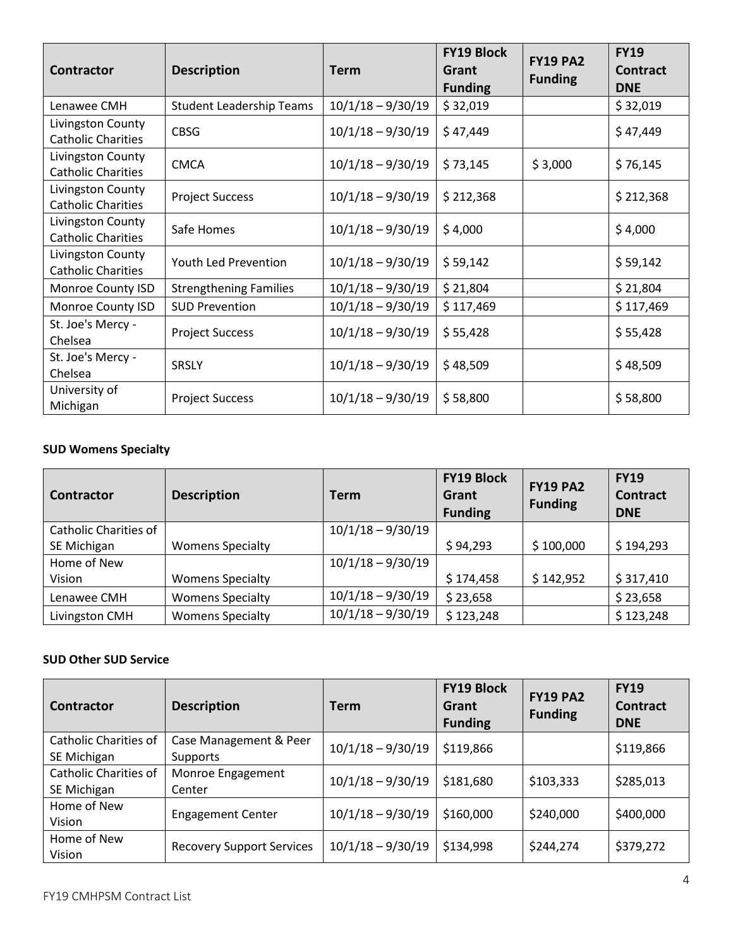| <b>Contractor</b>                              | <b>Description</b>              | <b>Term</b>         | <b>FY19 Block</b><br>Grant<br><b>Funding</b> | <b>FY19 PA2</b><br><b>Funding</b> | <b>FY19</b><br><b>Contract</b><br><b>DNE</b> |
|------------------------------------------------|---------------------------------|---------------------|----------------------------------------------|-----------------------------------|----------------------------------------------|
| Lenawee CMH                                    | <b>Student Leadership Teams</b> | $10/1/18 - 9/30/19$ | \$32,019                                     |                                   | \$32,019                                     |
| Livingston County<br><b>Catholic Charities</b> | <b>CBSG</b>                     | $10/1/18 - 9/30/19$ | \$47,449                                     |                                   | \$47,449                                     |
| Livingston County<br><b>Catholic Charities</b> | <b>CMCA</b>                     | $10/1/18 - 9/30/19$ | \$73,145                                     | \$3,000                           | \$76,145                                     |
| Livingston County<br><b>Catholic Charities</b> | <b>Project Success</b>          | $10/1/18 - 9/30/19$ | \$212,368                                    |                                   | \$212,368                                    |
| Livingston County<br><b>Catholic Charities</b> | Safe Homes                      | $10/1/18 - 9/30/19$ | \$4,000                                      |                                   | \$4,000                                      |
| Livingston County<br><b>Catholic Charities</b> | Youth Led Prevention            | $10/1/18 - 9/30/19$ | \$59,142                                     |                                   | \$59,142                                     |
| Monroe County ISD                              | <b>Strengthening Families</b>   | $10/1/18 - 9/30/19$ | \$21,804                                     |                                   | \$21,804                                     |
| Monroe County ISD                              | <b>SUD Prevention</b>           | $10/1/18 - 9/30/19$ | \$117,469                                    |                                   | \$117,469                                    |
| St. Joe's Mercy -<br>Chelsea                   | <b>Project Success</b>          | $10/1/18 - 9/30/19$ | \$55,428                                     |                                   | \$55,428                                     |
| St. Joe's Mercy -<br>Chelsea                   | <b>SRSLY</b>                    | $10/1/18 - 9/30/19$ | \$48,509                                     |                                   | \$48,509                                     |
| University of<br>Michigan                      | <b>Project Success</b>          | $10/1/18 - 9/30/19$ | \$58,800                                     |                                   | \$58,800                                     |

## **SUD Womens Specialty**

| <b>Contractor</b>            | <b>Description</b>      | <b>Term</b>         | <b>FY19 Block</b><br>Grant<br><b>Funding</b> | <b>FY19 PA2</b><br><b>Funding</b> | <b>FY19</b><br><b>Contract</b><br><b>DNE</b> |
|------------------------------|-------------------------|---------------------|----------------------------------------------|-----------------------------------|----------------------------------------------|
| <b>Catholic Charities of</b> |                         | $10/1/18 - 9/30/19$ |                                              |                                   |                                              |
| SE Michigan                  | <b>Womens Specialty</b> |                     | \$94,293                                     | \$100,000                         | \$194,293                                    |
| Home of New                  |                         | $10/1/18 - 9/30/19$ |                                              |                                   |                                              |
| Vision                       | <b>Womens Specialty</b> |                     | \$174,458                                    | \$142,952                         | \$317,410                                    |
| Lenawee CMH                  | <b>Womens Specialty</b> | $10/1/18 - 9/30/19$ | \$23,658                                     |                                   | \$23,658                                     |
| Livingston CMH               | <b>Womens Specialty</b> | $10/1/18 - 9/30/19$ | \$123,248                                    |                                   | \$123,248                                    |

## **SUD Other SUD Service**

| Contractor            | <b>Description</b>               | <b>Term</b>         | <b>FY19 Block</b><br>Grant<br><b>Funding</b> | <b>FY19 PA2</b><br><b>Funding</b> | <b>FY19</b><br>Contract<br><b>DNE</b> |
|-----------------------|----------------------------------|---------------------|----------------------------------------------|-----------------------------------|---------------------------------------|
| Catholic Charities of | Case Management & Peer           | $10/1/18 - 9/30/19$ | \$119,866                                    |                                   | \$119,866                             |
| SE Michigan           | Supports                         |                     |                                              |                                   |                                       |
| Catholic Charities of | Monroe Engagement                | $10/1/18 - 9/30/19$ | \$181,680                                    | \$103,333                         | \$285,013                             |
| SE Michigan           | Center                           |                     |                                              |                                   |                                       |
| Home of New           | <b>Engagement Center</b>         | $10/1/18 - 9/30/19$ | \$160,000                                    | \$240,000                         | \$400,000                             |
| Vision                |                                  |                     |                                              |                                   |                                       |
| Home of New           |                                  | $10/1/18 - 9/30/19$ | \$134,998                                    | \$244,274                         | \$379,272                             |
| Vision                | <b>Recovery Support Services</b> |                     |                                              |                                   |                                       |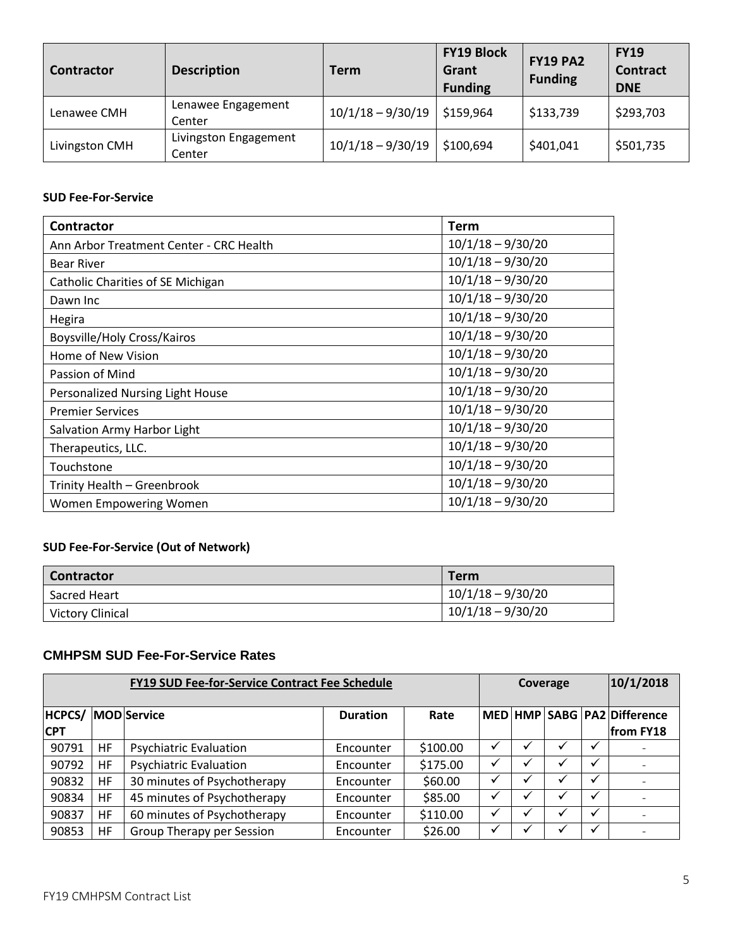| Contractor     | <b>Description</b>              | <b>Term</b>         | <b>FY19 Block</b><br>Grant<br><b>Funding</b> | <b>FY19 PA2</b><br><b>Funding</b> | <b>FY19</b><br><b>Contract</b><br><b>DNE</b> |
|----------------|---------------------------------|---------------------|----------------------------------------------|-----------------------------------|----------------------------------------------|
| Lenawee CMH    | Lenawee Engagement<br>Center    | $10/1/18 - 9/30/19$ | \$159,964                                    | \$133,739                         | \$293,703                                    |
| Livingston CMH | Livingston Engagement<br>Center | $10/1/18 - 9/30/19$ | \$100,694                                    | \$401,041                         | \$501,735                                    |

#### **SUD Fee-For-Service**

| <b>Contractor</b>                       | <b>Term</b>         |
|-----------------------------------------|---------------------|
| Ann Arbor Treatment Center - CRC Health | $10/1/18 - 9/30/20$ |
| <b>Bear River</b>                       | $10/1/18 - 9/30/20$ |
| Catholic Charities of SE Michigan       | $10/1/18 - 9/30/20$ |
| Dawn Inc                                | $10/1/18 - 9/30/20$ |
| Hegira                                  | $10/1/18 - 9/30/20$ |
| Boysville/Holy Cross/Kairos             | $10/1/18 - 9/30/20$ |
| Home of New Vision                      | $10/1/18 - 9/30/20$ |
| Passion of Mind                         | $10/1/18 - 9/30/20$ |
| Personalized Nursing Light House        | $10/1/18 - 9/30/20$ |
| <b>Premier Services</b>                 | $10/1/18 - 9/30/20$ |
| Salvation Army Harbor Light             | $10/1/18 - 9/30/20$ |
| Therapeutics, LLC.                      | $10/1/18 - 9/30/20$ |
| Touchstone                              | $10/1/18 - 9/30/20$ |
| Trinity Health - Greenbrook             | $10/1/18 - 9/30/20$ |
| Women Empowering Women                  | $10/1/18 - 9/30/20$ |

### **SUD Fee-For-Service (Out of Network)**

| Contractor              | Term                |
|-------------------------|---------------------|
| Sacred Heart            | $10/1/18 - 9/30/20$ |
| <b>Victory Clinical</b> | $10/1/18 - 9/30/20$ |

### **CMHPSM SUD Fee-For-Service Rates**

| <b>FY19 SUD Fee-for-Service Contract Fee Schedule</b> |           |                               | Coverage        |          |  |  | 10/1/2018 |              |                                          |
|-------------------------------------------------------|-----------|-------------------------------|-----------------|----------|--|--|-----------|--------------|------------------------------------------|
| <b>HCPCS/</b><br><b>CPT</b>                           |           | <b>MOD</b> Service            | <b>Duration</b> | Rate     |  |  |           |              | MED HMP SABG PA2 Difference<br>from FY18 |
| 90791                                                 | HF        | <b>Psychiatric Evaluation</b> | Encounter       | \$100.00 |  |  |           | ✔            |                                          |
| 90792                                                 | <b>HF</b> | <b>Psychiatric Evaluation</b> | Encounter       | \$175.00 |  |  |           | $\checkmark$ |                                          |
| 90832                                                 | HF        | 30 minutes of Psychotherapy   | Encounter       | \$60.00  |  |  |           | $\checkmark$ |                                          |
| 90834                                                 | <b>HF</b> | 45 minutes of Psychotherapy   | Encounter       | \$85.00  |  |  |           | $\checkmark$ |                                          |
| 90837                                                 | HF        | 60 minutes of Psychotherapy   | Encounter       | \$110.00 |  |  |           | $\checkmark$ |                                          |
| 90853                                                 | HF        | Group Therapy per Session     | Encounter       | \$26.00  |  |  |           | $\checkmark$ |                                          |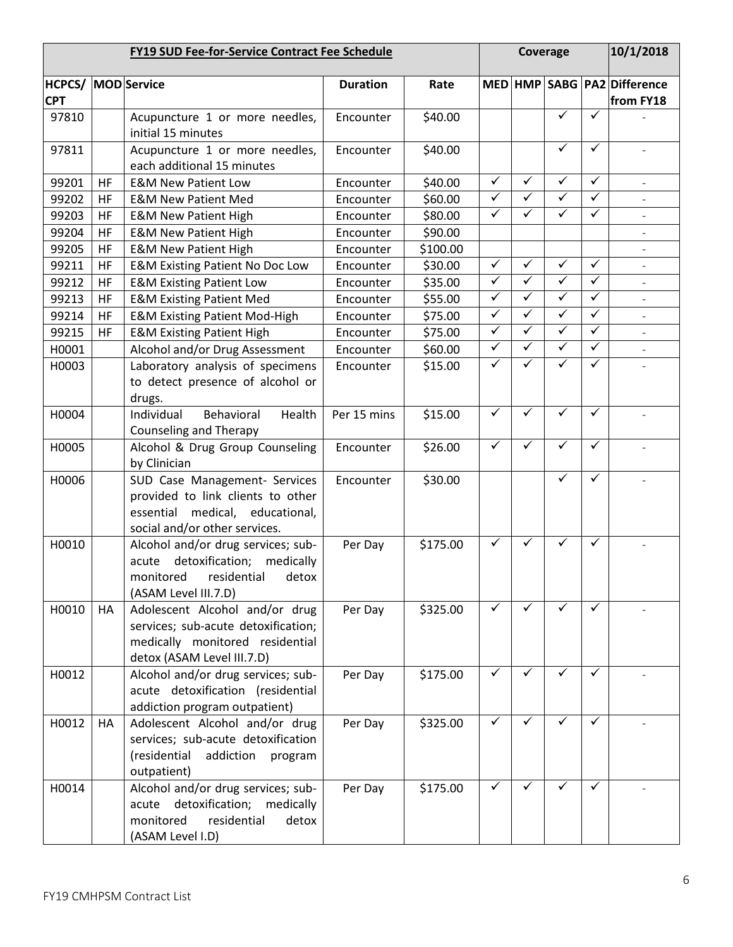|                                         | <b>FY19 SUD Fee-for-Service Contract Fee Schedule</b> |                                                                                                                                        |                 |          | Coverage                |              |              |              | 10/1/2018                                |  |
|-----------------------------------------|-------------------------------------------------------|----------------------------------------------------------------------------------------------------------------------------------------|-----------------|----------|-------------------------|--------------|--------------|--------------|------------------------------------------|--|
| <b>HCPCS/ MOD Service</b><br><b>CPT</b> |                                                       |                                                                                                                                        | <b>Duration</b> | Rate     |                         |              |              |              | MED HMP SABG PA2 Difference<br>from FY18 |  |
| 97810                                   |                                                       | Acupuncture 1 or more needles,<br>initial 15 minutes                                                                                   | Encounter       | \$40.00  |                         |              | ✓            | ✓            |                                          |  |
| 97811                                   |                                                       | Acupuncture 1 or more needles,<br>each additional 15 minutes                                                                           | Encounter       | \$40.00  |                         |              | ✓            | $\checkmark$ |                                          |  |
| 99201                                   | <b>HF</b>                                             | <b>E&amp;M New Patient Low</b>                                                                                                         | Encounter       | \$40.00  | $\checkmark$            | $\checkmark$ | ✓            | ✓            | $\bar{a}$                                |  |
| 99202                                   | <b>HF</b>                                             | <b>E&amp;M New Patient Med</b>                                                                                                         | Encounter       | \$60.00  | $\checkmark$            | ✓            | ✓            | ✓            |                                          |  |
| 99203                                   | HF                                                    | <b>E&amp;M New Patient High</b>                                                                                                        | Encounter       | \$80.00  | $\checkmark$            | ✓            | ✓            | $\checkmark$ | $\qquad \qquad \blacksquare$             |  |
| 99204                                   | HF                                                    | <b>E&amp;M New Patient High</b>                                                                                                        | Encounter       | \$90.00  |                         |              |              |              |                                          |  |
| 99205                                   | HF                                                    | <b>E&amp;M New Patient High</b>                                                                                                        | Encounter       | \$100.00 |                         |              |              |              |                                          |  |
| 99211                                   | HF                                                    | <b>E&amp;M Existing Patient No Doc Low</b>                                                                                             | Encounter       | \$30.00  | $\checkmark$            | ✓            | ✓            | ✓            | $\overline{\phantom{a}}$                 |  |
| 99212                                   | HF                                                    | <b>E&amp;M Existing Patient Low</b>                                                                                                    | Encounter       | \$35.00  | $\checkmark$            | $\checkmark$ | $\checkmark$ | $\checkmark$ |                                          |  |
| 99213                                   | HF                                                    | <b>E&amp;M Existing Patient Med</b>                                                                                                    | Encounter       | \$55.00  | $\checkmark$            | $\checkmark$ | $\checkmark$ | $\checkmark$ | $\overline{\phantom{a}}$                 |  |
| 99214                                   | HF                                                    | <b>E&amp;M Existing Patient Mod-High</b>                                                                                               | Encounter       | \$75.00  | $\checkmark$            | $\checkmark$ | $\checkmark$ | $\checkmark$ | $\qquad \qquad -$                        |  |
| 99215                                   | <b>HF</b>                                             | <b>E&amp;M Existing Patient High</b>                                                                                                   | Encounter       | \$75.00  | $\checkmark$            | $\checkmark$ | $\checkmark$ | $\checkmark$ |                                          |  |
| H0001                                   |                                                       | Alcohol and/or Drug Assessment                                                                                                         | Encounter       | \$60.00  | $\overline{\checkmark}$ | $\checkmark$ | $\checkmark$ | $\checkmark$ | $\overline{\phantom{a}}$                 |  |
| H0003                                   |                                                       | Laboratory analysis of specimens<br>to detect presence of alcohol or<br>drugs.                                                         | Encounter       | \$15.00  | $\checkmark$            | $\checkmark$ | ✓            | ✓            |                                          |  |
| H0004                                   |                                                       | Behavioral<br>Health<br>Individual<br><b>Counseling and Therapy</b>                                                                    | Per 15 mins     | \$15.00  | $\checkmark$            | ✓            | $\checkmark$ | ✓            |                                          |  |
| H0005                                   |                                                       | Alcohol & Drug Group Counseling<br>by Clinician                                                                                        | Encounter       | \$26.00  | ✓                       | ✓            | ✓            | ✓            |                                          |  |
| H0006                                   |                                                       | SUD Case Management- Services<br>provided to link clients to other<br>essential medical, educational,<br>social and/or other services. | Encounter       | \$30.00  |                         |              | ✓            | $\checkmark$ |                                          |  |
| H0010                                   |                                                       | Alcohol and/or drug services; sub-<br>detoxification;<br>medically<br>acute<br>monitored residential detox<br>(ASAM Level III.7.D)     | Per Day         | \$175.00 | ✓                       | ✓            |              | ✓            |                                          |  |
| H0010                                   | HA                                                    | Adolescent Alcohol and/or drug<br>services; sub-acute detoxification;<br>medically monitored residential<br>detox (ASAM Level III.7.D) | Per Day         | \$325.00 | ✓                       | $\checkmark$ | ✓            | ✓            |                                          |  |
| H0012                                   |                                                       | Alcohol and/or drug services; sub-<br>acute detoxification (residential<br>addiction program outpatient)                               | Per Day         | \$175.00 | ✓                       | $\checkmark$ | ✓            | $\checkmark$ |                                          |  |
| H0012                                   | HA                                                    | Adolescent Alcohol and/or drug<br>services; sub-acute detoxification<br>(residential<br>addiction<br>program<br>outpatient)            | Per Day         | \$325.00 | ✓                       | ✓            |              | ✓            |                                          |  |
| H0014                                   |                                                       | Alcohol and/or drug services; sub-<br>acute detoxification; medically<br>residential<br>monitored<br>detox<br>(ASAM Level I.D)         | Per Day         | \$175.00 | ✓                       | ✓            | ✓            | ✓            |                                          |  |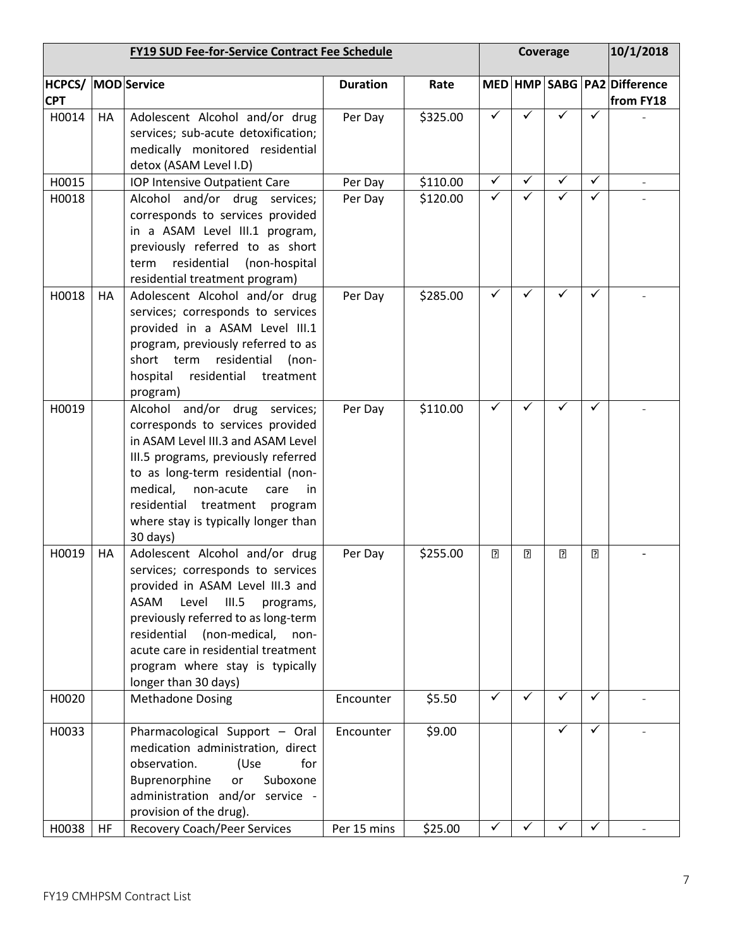|                     | <b>FY19 SUD Fee-for-Service Contract Fee Schedule</b> |                                                                                                                                                                                                                                                                                                                                        |                 | Coverage |   |   |   | 10/1/2018      |                             |
|---------------------|-------------------------------------------------------|----------------------------------------------------------------------------------------------------------------------------------------------------------------------------------------------------------------------------------------------------------------------------------------------------------------------------------------|-----------------|----------|---|---|---|----------------|-----------------------------|
| HCPCS/ MOD Service  |                                                       |                                                                                                                                                                                                                                                                                                                                        | <b>Duration</b> | Rate     |   |   |   |                | MED HMP SABG PA2 Difference |
| <b>CPT</b><br>H0014 | HA                                                    | Adolescent Alcohol and/or drug<br>services; sub-acute detoxification;<br>medically monitored residential<br>detox (ASAM Level I.D)                                                                                                                                                                                                     | Per Day         | \$325.00 | ✓ | ✓ |   | ✓              | from FY18                   |
| H0015               |                                                       | IOP Intensive Outpatient Care                                                                                                                                                                                                                                                                                                          | Per Day         | \$110.00 | ✓ | ✓ | ✓ | ✓              |                             |
| H0018               |                                                       | Alcohol and/or drug services;<br>corresponds to services provided<br>in a ASAM Level III.1 program,<br>previously referred to as short<br>residential<br>(non-hospital<br>term<br>residential treatment program)                                                                                                                       | Per Day         | \$120.00 | ✓ |   | ✓ | $\checkmark$   |                             |
| H0018               | HA                                                    | Adolescent Alcohol and/or drug<br>services; corresponds to services<br>provided in a ASAM Level III.1<br>program, previously referred to as<br>residential<br>short term<br>$(non-$<br>residential<br>hospital<br>treatment<br>program)                                                                                                | Per Day         | \$285.00 | ✓ |   |   | ✓              |                             |
| H0019               |                                                       | Alcohol and/or drug services;<br>corresponds to services provided<br>in ASAM Level III.3 and ASAM Level<br>III.5 programs, previously referred<br>to as long-term residential (non-<br>medical,<br>non-acute<br>care<br>in.<br>residential treatment<br>program<br>where stay is typically longer than<br>30 days)                     | Per Day         | \$110.00 | ✓ | ✓ |   | ✓              |                             |
| H0019               | HA                                                    | Adolescent Alcohol and/or drug<br>services; corresponds to services<br>provided in ASAM Level III.3 and<br><b>ASAM</b><br>Level<br>III.5<br>programs,<br>previously referred to as long-term<br>residential<br>(non-medical,<br>non-<br>acute care in residential treatment<br>program where stay is typically<br>longer than 30 days) | Per Day         | \$255.00 | 2 | 7 | 2 | $\overline{2}$ |                             |
| H0020               |                                                       | <b>Methadone Dosing</b>                                                                                                                                                                                                                                                                                                                | Encounter       | \$5.50   | ✓ | ✓ | ✓ | $\checkmark$   |                             |
| H0033               |                                                       | Pharmacological Support - Oral<br>medication administration, direct<br>observation.<br>(Use<br>for<br>Buprenorphine<br>or<br>Suboxone<br>administration and/or service -<br>provision of the drug).                                                                                                                                    | Encounter       | \$9.00   |   |   | ✓ | ✓              |                             |
| H0038               | HF.                                                   | <b>Recovery Coach/Peer Services</b>                                                                                                                                                                                                                                                                                                    | Per 15 mins     | \$25.00  |   |   |   |                |                             |